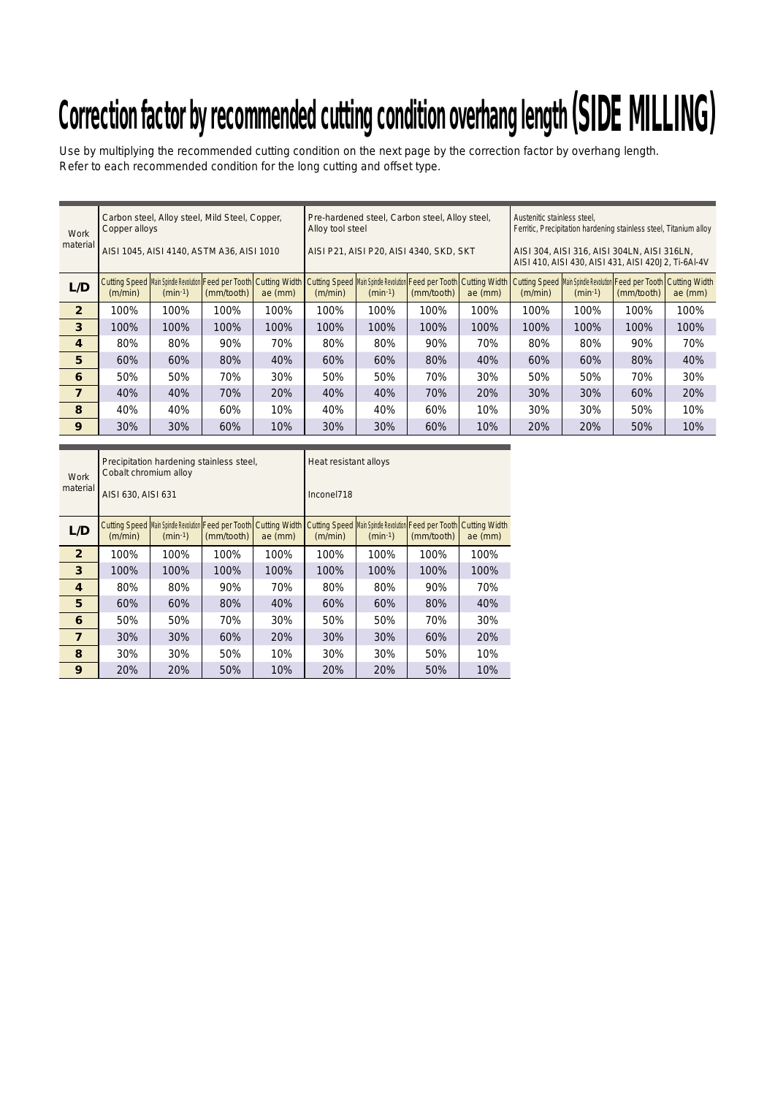# Correction factor by recommended cutting condition overhang length (SIDE MILLING)

Use by multiplying the recommended cutting condition on the next page by the correction factor by overhang length. Refer to each recommended condition for the long cutting and offset type.

| Work<br>material | Copper alloys |                                                        | Carbon steel, Alloy steel, Mild Steel, Copper,<br>AISI 1045, AISI 4140, ASTM A36, AISI 1010                                                                                                  |           | Alloy tool steel | Pre-hardened steel, Carbon steel, Alloy steel,<br>AISI P21, AISI P20, AISI 4340, SKD, SKT |            |           | Austenitic stainless steel,<br>Ferritic, Precipitation hardening stainless steel, Titanium alloy<br>AISI 304, AISI 316, AISI 304LN, AISI 316LN,<br>AISI 410, AISI 430, AISI 431, AISI 420J2, Ti-6AI-4V |           |            |         |  |  |
|------------------|---------------|--------------------------------------------------------|----------------------------------------------------------------------------------------------------------------------------------------------------------------------------------------------|-----------|------------------|-------------------------------------------------------------------------------------------|------------|-----------|--------------------------------------------------------------------------------------------------------------------------------------------------------------------------------------------------------|-----------|------------|---------|--|--|
| L/D              | (m/min)       | Cutting Speed   Main Spindle Revolution  <br>$(min-1)$ | Feed per Tooth Cutting Width   Cutting Speed Main Spindle Revolution   Feed per Tooth   Cutting Width   Cutting Speed Main Spindle Revolution   Feed per Tooth   Cutting Width<br>(mm/tooth) | ae $(mm)$ | (m/min)          | $(min-1)$                                                                                 | (mm/tooth) | $ae$ (mm) | (m/min)                                                                                                                                                                                                | $(min-1)$ | (mm/tooth) | ae (mm) |  |  |
| $\overline{2}$   | 100%          | 100%                                                   | 100%                                                                                                                                                                                         | 100%      | 100%             | 100%                                                                                      | 100%       | 100%      | 100%                                                                                                                                                                                                   | 100%      | 100%       | 100%    |  |  |
| 3                | 100%          | 100%                                                   | 100%                                                                                                                                                                                         | 100%      | 100%             | 100%                                                                                      | 100%       | 100%      | 100%                                                                                                                                                                                                   | 100%      | 100%       | 100%    |  |  |
| 4                | 80%           | 80%                                                    | 90%                                                                                                                                                                                          | 70%       | 80%              | 80%                                                                                       | 90%        | 70%       | 80%                                                                                                                                                                                                    | 80%       | 90%        | 70%     |  |  |
| 5                | 60%           | 60%                                                    | 80%                                                                                                                                                                                          | 40%       | 60%              | 60%                                                                                       | 80%        | 40%       | 60%                                                                                                                                                                                                    | 60%       | 80%        | 40%     |  |  |
| 6                | 50%           | 50%                                                    | 70%                                                                                                                                                                                          | 30%       | 50%              | 50%                                                                                       | 70%        | 30%       | 50%                                                                                                                                                                                                    | 50%       | 70%        | 30%     |  |  |
| 7                | 40%           | 40%                                                    | 70%                                                                                                                                                                                          | 20%       | 40%              | 40%                                                                                       | 70%        | 20%       | 30%                                                                                                                                                                                                    | 30%       | 60%        | 20%     |  |  |
| 8                | 40%           | 40%                                                    | 60%                                                                                                                                                                                          | 10%       | 40%              | 40%                                                                                       | 60%        | 10%       | 30%                                                                                                                                                                                                    | 30%       | 50%        | 10%     |  |  |
| 9                | 30%           | 30%                                                    | 60%                                                                                                                                                                                          | 10%       | 30%              | 30%                                                                                       | 60%        | 10%       | 20%                                                                                                                                                                                                    | 20%       | 50%        | 10%     |  |  |

| <b>Work</b><br>material | Cobalt chromium alloy<br>AISI 630, AISI 631 | Precipitation hardening stainless steel,                          |            |                                   | Heat resistant alloys<br>Inconel718 |           |                                                      |                                   |  |  |  |
|-------------------------|---------------------------------------------|-------------------------------------------------------------------|------------|-----------------------------------|-------------------------------------|-----------|------------------------------------------------------|-----------------------------------|--|--|--|
| L/D                     | (m/min)                                     | Cutting Speed Main Spindle Revolution Feed per Tooth<br>$(min-1)$ | (mm/tooth) | <b>Cutting Width</b><br>$ae$ (mm) | <b>Cutting Speed</b><br>(m/min)     | $(min-1)$ | Main Spindle Revolution Feed per Tooth<br>(mm/tooth) | <b>Cutting Width</b><br>$ae$ (mm) |  |  |  |
| $\overline{2}$          | 100%                                        | 100%                                                              | 100%       | 100%                              | 100%                                | 100%      | 100%                                                 | 100%                              |  |  |  |
| 3                       | 100%                                        | 100%                                                              | 100%       | 100%                              | 100%                                | 100%      | 100%                                                 | 100%                              |  |  |  |
| 4                       | 80%                                         | 80%                                                               | 90%        | 70%                               | 80%                                 | 80%       | 90%                                                  | 70%                               |  |  |  |
| 5                       | 60%                                         | 60%                                                               | 80%        | 40%                               | 60%                                 | 60%       | 80%                                                  | 40%                               |  |  |  |
| 6                       | 50%                                         | 50%                                                               | 70%        | 30%                               | 50%                                 | 50%       | 70%                                                  | 30%                               |  |  |  |
| $\overline{7}$          | 30%                                         | 30%                                                               | 60%        | <b>20%</b>                        | 30%                                 | 30%       | 60%                                                  | 20%                               |  |  |  |
| 8                       | 30%                                         | 30%                                                               | 50%        | 10%                               | 30%                                 | 30%       | 50%                                                  | 10%                               |  |  |  |
| 9                       | 20%                                         | <b>20%</b>                                                        | 50%        | 10%                               | 20%                                 | 20%       | 50%                                                  | 10%                               |  |  |  |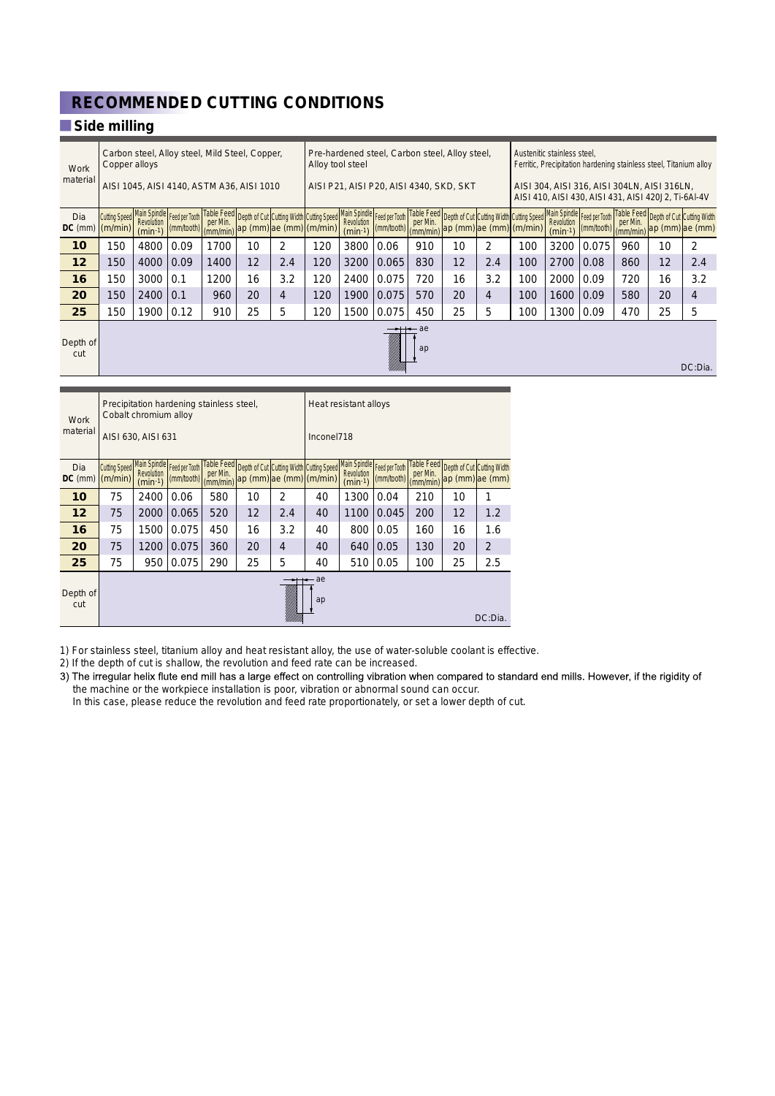## **RECOMMENDED CUTTING CONDITIONS**

### **Side milling**

| Work<br>material | Carbon steel, Alloy steel, Mild Steel, Copper,<br>Copper alloys |                                         |                                                         |          |    |                                                                                                                     |                       | Pre-hardened steel, Carbon steel, Alloy steel,<br>Alloy tool steel |                                                                                  |          |    |     |                                                                                 | Austenitic stainless steel.<br>Ferritic, Precipitation hardening stainless steel, Titanium alloy   |            |                      |    |                                                             |  |
|------------------|-----------------------------------------------------------------|-----------------------------------------|---------------------------------------------------------|----------|----|---------------------------------------------------------------------------------------------------------------------|-----------------------|--------------------------------------------------------------------|----------------------------------------------------------------------------------|----------|----|-----|---------------------------------------------------------------------------------|----------------------------------------------------------------------------------------------------|------------|----------------------|----|-------------------------------------------------------------|--|
|                  | AISI 1045, AISI 4140, ASTM A36, AISI 1010                       |                                         |                                                         |          |    |                                                                                                                     |                       | AISI P21, AISI P20, AISI 4340, SKD, SKT                            |                                                                                  |          |    |     |                                                                                 | AISI 304, AISI 316, AISI 304LN, AISI 316LN,<br>AISI 410, AISI 430, AISI 431, AISI 420J2, Ti-6AI-4V |            |                      |    |                                                             |  |
| Dia<br>$DC$ (mm) | (m/min)                                                         | Revolution<br>$(min-1)$                 | Cutting Speed Main Spindle Feed per Tooth<br>(mm/tooth) | per Min. |    | Table Feed Depth of Cut Cutting Width Cutting Speed Main Spindle Feed per Tooth<br>(mm/min) ap (mm) ae (mm) (m/min) |                       | Revolution<br>$(min-1)$                                            | $\left \frac{\text{(mm/tooth)}}{\text{(mm/min)}}\right $ ap (mm) ae (mm) (m/min) | per Min. |    |     | Table Feed Depth of Cut Cutting Width Cutting Speed Main Spindle Feed per Tooth | Revolution<br>$(min-1)$                                                                            | (mm/tooth) | per Min.<br>(mm/min) |    | Table Feed Depth of Cut Cutting Width<br>$ ap$ (mm) ae (mm) |  |
| 10               | 150                                                             | 4800                                    | 0.09                                                    | 1700     | 10 | $\overline{2}$                                                                                                      | 120                   | 3800                                                               | 0.06                                                                             | 910      | 10 | 2   | 100                                                                             | 3200                                                                                               | 0.075      | 960                  | 10 | 2                                                           |  |
| 12               | 150                                                             | 4000                                    | 0.09                                                    | 1400     | 12 | 2.4                                                                                                                 | 120                   | 3200                                                               | 0.065                                                                            | 830      | 12 | 2.4 | 100                                                                             | 2700                                                                                               | 0.08       | 860                  | 12 | 2.4                                                         |  |
| 16               | 150                                                             | 3000                                    | 0.1                                                     | 1200     | 16 | 3.2                                                                                                                 | 120                   | 2400                                                               | 0.075                                                                            | 720      | 16 | 3.2 | 100                                                                             | 2000                                                                                               | 0.09       | 720                  | 16 | 3.2                                                         |  |
| 20               | 150                                                             | 2400                                    | 0.1                                                     | 960      | 20 | 4                                                                                                                   | 120                   | 1900                                                               | 0.075                                                                            | 570      | 20 | 4   | 100                                                                             | 1600                                                                                               | 0.09       | 580                  | 20 | 4                                                           |  |
| 25               | 150                                                             | 1900                                    | 0.12                                                    | 910      | 25 | 5                                                                                                                   | 120                   | 1500                                                               | 0.075                                                                            | 450      | 25 | 5   | 100                                                                             | 1300                                                                                               | 0.09       | 470                  | 25 | 5                                                           |  |
| Depth of<br>cut  | ae<br>ap<br>DC:Dia.                                             |                                         |                                                         |          |    |                                                                                                                     |                       |                                                                    |                                                                                  |          |    |     |                                                                                 |                                                                                                    |            |                      |    |                                                             |  |
|                  |                                                                 |                                         |                                                         |          |    |                                                                                                                     |                       |                                                                    |                                                                                  |          |    |     |                                                                                 |                                                                                                    |            |                      |    |                                                             |  |
| Work             |                                                                 | Cobalt chromium alloy                   | Precipitation hardening stainless steel,                |          |    |                                                                                                                     | Heat resistant alloys |                                                                    |                                                                                  |          |    |     |                                                                                 |                                                                                                    |            |                      |    |                                                             |  |
| material         |                                                                 | $\triangle$ 101.000 $\triangle$ 101.004 |                                                         |          |    |                                                                                                                     | $1 - - - - - 1740$    |                                                                    |                                                                                  |          |    |     |                                                                                 |                                                                                                    |            |                      |    |                                                             |  |

|                 |                                 | AISI 630, AISI 631             |                                           |                                    |                   | Inconel718                                                                       |                       |                         |                                           |                      |    |                                                          |
|-----------------|---------------------------------|--------------------------------|-------------------------------------------|------------------------------------|-------------------|----------------------------------------------------------------------------------|-----------------------|-------------------------|-------------------------------------------|----------------------|----|----------------------------------------------------------|
| Dia<br>DC (mm)  | <b>Cutting Speed</b><br>(m/min) | <b>Revolution</b><br>$(min-1)$ | Main Spindle Feed per Tooth<br>(mm/tooth) | per Min.<br>$\frac{1}{2}$ (mm/min) |                   | Table Feed Depth of Cut Cutting Width Cutting Speed<br> ap (mm) ae (mm)  (m/min) |                       | Revolution<br>$(min-1)$ | Main Spindle Feed per Tooth<br>(mm/tooth) | per Min.<br>(mm/min) |    | Table Feed Depth of Cut Cutting Width<br>ap (mm) ae (mm) |
| 10              | 75                              | 2400                           | 0.06                                      | 580                                | 10                | 2                                                                                | 40                    | 1300                    | 0.04                                      | 210                  | 10 | 1                                                        |
| 12              | 75                              | 2000                           | 0.065                                     | 520                                | $12 \overline{ }$ | 2.4                                                                              | 40                    | 1100                    | 0.045                                     | 200                  | 12 | 1.2                                                      |
| 16              | 75                              | 1500                           | 0.075                                     | 450                                | 16                | 3.2                                                                              | 40                    | 800                     | 0.05                                      | 160                  | 16 | 1.6                                                      |
| 20              | 75                              | 1200                           | 0.075                                     | 360                                | 20                | 4                                                                                | 40                    | 640                     | 0.05                                      | 130                  | 20 | 2                                                        |
| 25              | 75                              | 950                            | 0.075                                     | 290                                | 25                | 5                                                                                | 40                    | 510                     | 0.05                                      | 100                  | 25 | 2.5                                                      |
| Depth of<br>cut |                                 |                                |                                           |                                    |                   | an dheeriyaha                                                                    | $\leftarrow$ ae<br>ap |                         |                                           |                      |    | DC:Dia.                                                  |

1) For stainless steel, titanium alloy and heat resistant alloy, the use of water-soluble coolant is effective.

2) If the depth of cut is shallow, the revolution and feed rate can be increased.<br>3) The irregular helix flute end mill has a large effect on controlling vibration when compared to standard end mills. However, if the rigid the machine or the workpiece installation is poor, vibration or abnormal sound can occur.

In this case, please reduce the revolution and feed rate proportionately, or set a lower depth of cut.